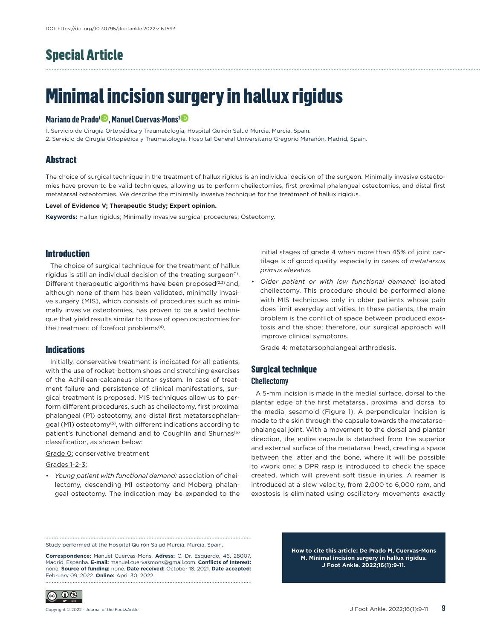## Special Article

# Minimal incision surgery in hallux rigidus

### **Mariano de Prado<sup>1</sup><sup>.</sup>, Manuel Cuervas-Mons<sup>2</sup><sup>.</sup>**

1. Servicio de Cirugía Ortopédica y Traumatología, Hospital Quirón Salud Murcia, Murcia, Spain.

2. Servicio de Cirugía Ortopédica y Traumatología, Hospital General Universitario Gregorio Marañón, Madrid, Spain.

### **Abstract**

The choice of surgical technique in the treatment of hallux rigidus is an individual decision of the surgeon. Minimally invasive osteotomies have proven to be valid techniques, allowing us to perform cheilectomies, first proximal phalangeal osteotomies, and distal first metatarsal osteotomies. We describe the minimally invasive technique for the treatment of hallux rigidus.

### **Level of Evidence V; Therapeutic Study; Expert opinion.**

**Keywords:** Hallux rigidus; Minimally invasive surgical procedures; Osteotomy.

### Introduction

The choice of surgical technique for the treatment of hallux rigidus is still an individual decision of the treating surgeon $(1)$ . Different therapeutic algorithms have been proposed $(2,3)$  and, although none of them has been validated, minimally invasive surgery (MIS), which consists of procedures such as minimally invasive osteotomies, has proven to be a valid technique that yield results similar to those of open osteotomies for the treatment of forefoot problems<sup>(4)</sup>.

### **Indications**

Initially, conservative treatment is indicated for all patients, with the use of rocket-bottom shoes and stretching exercises of the Achillean-calcaneus-plantar system. In case of treatment failure and persistence of clinical manifestations, surgical treatment is proposed. MIS techniques allow us to perform different procedures, such as cheilectomy, first proximal phalangeal (P1) osteotomy, and distal first metatarsophalangeal (M1) osteotomy<sup>(5)</sup>, with different indications according to patient's functional demand and to Coughlin and Shurnas<sup>(6)</sup> classification, as shown below:

### Grade 0: conservative treatment

Grades 1-2-3:

• *Young patient with functional demand:* association of cheilectomy, descending M1 osteotomy and Moberg phalangeal osteotomy. The indication may be expanded to the initial stages of grade 4 when more than 45% of joint cartilage is of good quality, especially in cases of *metatarsus primus elevatus*.

• *Older patient or with low functional demand:* isolated cheilectomy. This procedure should be performed alone with MIS techniques only in older patients whose pain does limit everyday activities. In these patients, the main problem is the conflict of space between produced exostosis and the shoe; therefore, our surgical approach will improve clinical symptoms.

Grade 4: metatarsophalangeal arthrodesis.

### Surgical technique **Cheilectomy**

A 5-mm incision is made in the medial surface, dorsal to the plantar edge of the first metatarsal, proximal and dorsal to the medial sesamoid (Figure 1). A perpendicular incision is made to the skin through the capsule towards the metatarsophalangeal joint. With a movement to the dorsal and plantar direction, the entire capsule is detached from the superior and external surface of the metatarsal head, creating a space between the latter and the bone, where it will be possible to «work on»; a DPR rasp is introduced to check the space created, which will prevent soft tissue injuries. A reamer is introduced at a slow velocity, from 2,000 to 6,000 rpm, and exostosis is eliminated using oscillatory movements exactly

Study performed at the Hospital Quirón Salud Murcia, Murcia, Spain.

**Correspondence:** Manuel Cuervas-Mons. **Adress:** C. Dr. Esquerdo, 46, 28007, Madrid, Espanha. **E-mail:** manuel.cuervasmons@gmail.com. **Conflicts of Interest:** none. **Source of funding:** none. **Date received:** October 18, 2021. **Date accepted:** February 09, 2022. **Online:** April 30, 2022. 

**How to cite this article: De Prado M, Cuervas-Mons M. Minimal incision surgery in hallux rigidus. J Foot Ankle. 2022;16(1):9-11.**

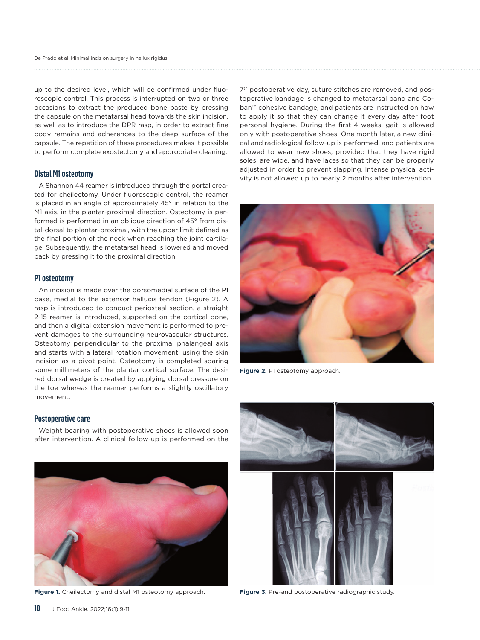up to the desired level, which will be confirmed under fluoroscopic control. This process is interrupted on two or three occasions to extract the produced bone paste by pressing the capsule on the metatarsal head towards the skin incision, as well as to introduce the DPR rasp, in order to extract fine body remains and adherences to the deep surface of the capsule. The repetition of these procedures makes it possible to perform complete exostectomy and appropriate cleaning.

### **Distal M1 osteotomy**

A Shannon 44 reamer is introduced through the portal created for cheilectomy. Under fluoroscopic control, the reamer is placed in an angle of approximately 45° in relation to the M1 axis, in the plantar-proximal direction. Osteotomy is performed is performed in an oblique direction of 45° from distal-dorsal to plantar-proximal, with the upper limit defined as the final portion of the neck when reaching the joint cartilage. Subsequently, the metatarsal head is lowered and moved back by pressing it to the proximal direction.

### **P1 osteotomy**

An incision is made over the dorsomedial surface of the P1 base, medial to the extensor hallucis tendon (Figure 2). A rasp is introduced to conduct periosteal section, a straight 2-15 reamer is introduced, supported on the cortical bone, and then a digital extension movement is performed to prevent damages to the surrounding neurovascular structures. Osteotomy perpendicular to the proximal phalangeal axis and starts with a lateral rotation movement, using the skin incision as a pivot point. Osteotomy is completed sparing some millimeters of the plantar cortical surface. The desired dorsal wedge is created by applying dorsal pressure on the toe whereas the reamer performs a slightly oscillatory movement.

### **Postoperative care**

Weight bearing with postoperative shoes is allowed soon after intervention. A clinical follow-up is performed on the



**Figure 1.** Cheilectomy and distal M1 osteotomy approach.

7<sup>th</sup> postoperative day, suture stitches are removed, and postoperative bandage is changed to metatarsal band and Coban™ cohesive bandage, and patients are instructed on how to apply it so that they can change it every day after foot personal hygiene. During the first 4 weeks, gait is allowed only with postoperative shoes. One month later, a new clinical and radiological follow-up is performed, and patients are allowed to wear new shoes, provided that they have rigid soles, are wide, and have laces so that they can be properly adjusted in order to prevent slapping. Intense physical activity is not allowed up to nearly 2 months after intervention.



**Figure 2.** P1 osteotomy approach.



**Figure 3.** Pre-and postoperative radiographic study.